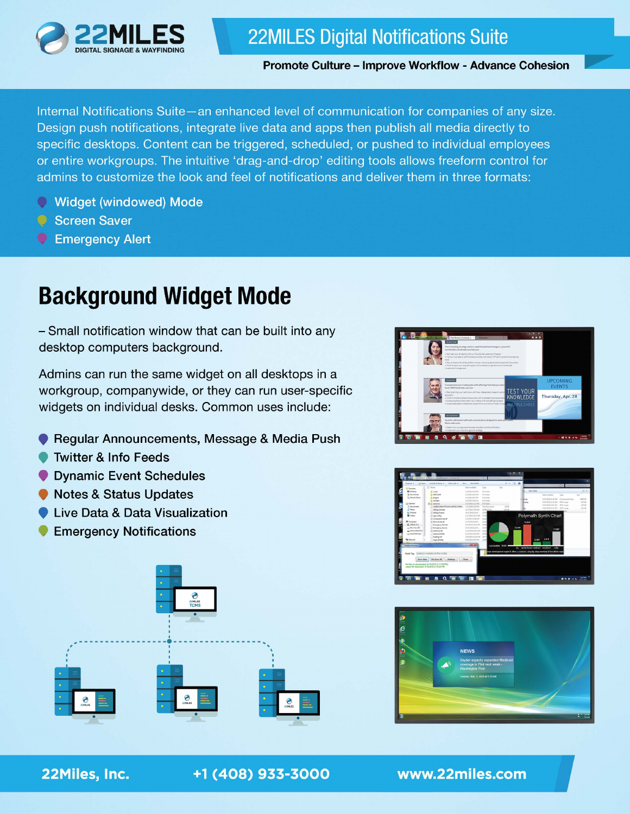

### **22MILES Digital Notifications Suite**

**Promote Culture - Improve Workflow - Advance Cohesion** 

Internal Notifications Suite-an enhanced level of communication for companies of any size. Design push notifications, integrate live data and apps then publish all media directly to specific desktops. Content can be triggered, scheduled, or pushed to individual employees or entire workgroups. The intuitive 'drag-and-drop' editing tools allows freeform control for admins to customize the look and feel of notifications and deliver them in three formats:

- Widget (windowed) Mode
- Screen Saver
- Emergency Alert

## **Background Widget Mode**

- Small notification window that can be built into any desktop computers background.

Admins can run the same widget on all desktops in a workgroup, companywide, or they can run user-specific widgets on individual desks. Common uses include:

- Regular Announcements, Message & Media Push
- **Twitter & Info Feeds**
- Dynamic Event Schedules
- Notes & Status Updates
- Live Data & Data Visualization
- **Emergency Notifications**









#### 22Miles, Inc.

+1 (408) 933-3000

www.22miles.com